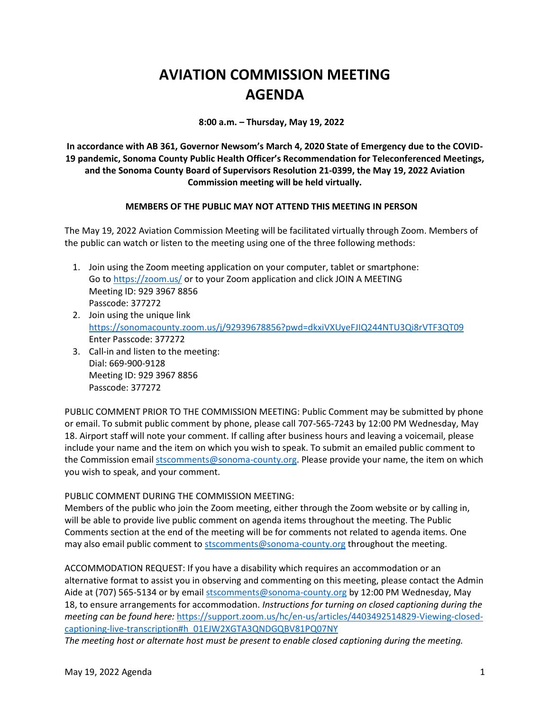## **AVIATION COMMISSION MEETING AGENDA**

**8:00 a.m. – Thursday, May 19, 2022**

**In accordance with AB 361, Governor Newsom's March 4, 2020 State of Emergency due to the COVID-19 pandemic, Sonoma County Public Health Officer's Recommendation for Teleconferenced Meetings, and the Sonoma County Board of Supervisors Resolution 21-0399, the May 19, 2022 Aviation Commission meeting will be held virtually.**

## **MEMBERS OF THE PUBLIC MAY NOT ATTEND THIS MEETING IN PERSON**

The May 19, 2022 Aviation Commission Meeting will be facilitated virtually through Zoom. Members of the public can watch or listen to the meeting using one of the three following methods:

- 1. Join using the Zoom meeting application on your computer, tablet or smartphone: Go to<https://zoom.us/> or to your Zoom application and click JOIN A MEETING Meeting ID: 929 3967 8856 Passcode: 377272
- 2. Join using the unique link <https://sonomacounty.zoom.us/j/92939678856?pwd=dkxiVXUyeFJIQ244NTU3Qi8rVTF3QT09> Enter Passcode: 377272
- 3. Call-in and listen to the meeting: Dial: 669-900-9128 Meeting ID: 929 3967 8856 Passcode: 377272

PUBLIC COMMENT PRIOR TO THE COMMISSION MEETING: Public Comment may be submitted by phone or email. To submit public comment by phone, please call 707-565-7243 by 12:00 PM Wednesday, May 18. Airport staff will note your comment. If calling after business hours and leaving a voicemail, please include your name and the item on which you wish to speak. To submit an emailed public comment to the Commission emai[l stscomments@sonoma-county.org.](mailto:stscomments@sonoma-county.org) Please provide your name, the item on which you wish to speak, and your comment.

## PUBLIC COMMENT DURING THE COMMISSION MEETING:

Members of the public who join the Zoom meeting, either through the Zoom website or by calling in, will be able to provide live public comment on agenda items throughout the meeting. The Public Comments section at the end of the meeting will be for comments not related to agenda items. One may also email public comment to [stscomments@sonoma-county.org](mailto:stscomments@sonoma-county.org) throughout the meeting.

ACCOMMODATION REQUEST: If you have a disability which requires an accommodation or an alternative format to assist you in observing and commenting on this meeting, please contact the Admin Aide at (707) 565-5134 or by emai[l stscomments@sonoma-county.org](mailto:stscomments@sonoma-county.org) by 12:00 PM Wednesday, May 18, to ensure arrangements for accommodation. *Instructions for turning on closed captioning during the meeting can be found here:* [https://support.zoom.us/hc/en-us/articles/4403492514829-Viewing-closed](https://support.zoom.us/hc/en-us/articles/4403492514829-Viewing-closed-captioning-live-transcription#h_01EJW2XGTA3QNDGQBV81PQ07NY)[captioning-live-transcription#h\\_01EJW2XGTA3QNDGQBV81PQ07NY](https://support.zoom.us/hc/en-us/articles/4403492514829-Viewing-closed-captioning-live-transcription#h_01EJW2XGTA3QNDGQBV81PQ07NY)

*The meeting host or alternate host must be present to enable closed captioning during the meeting.*